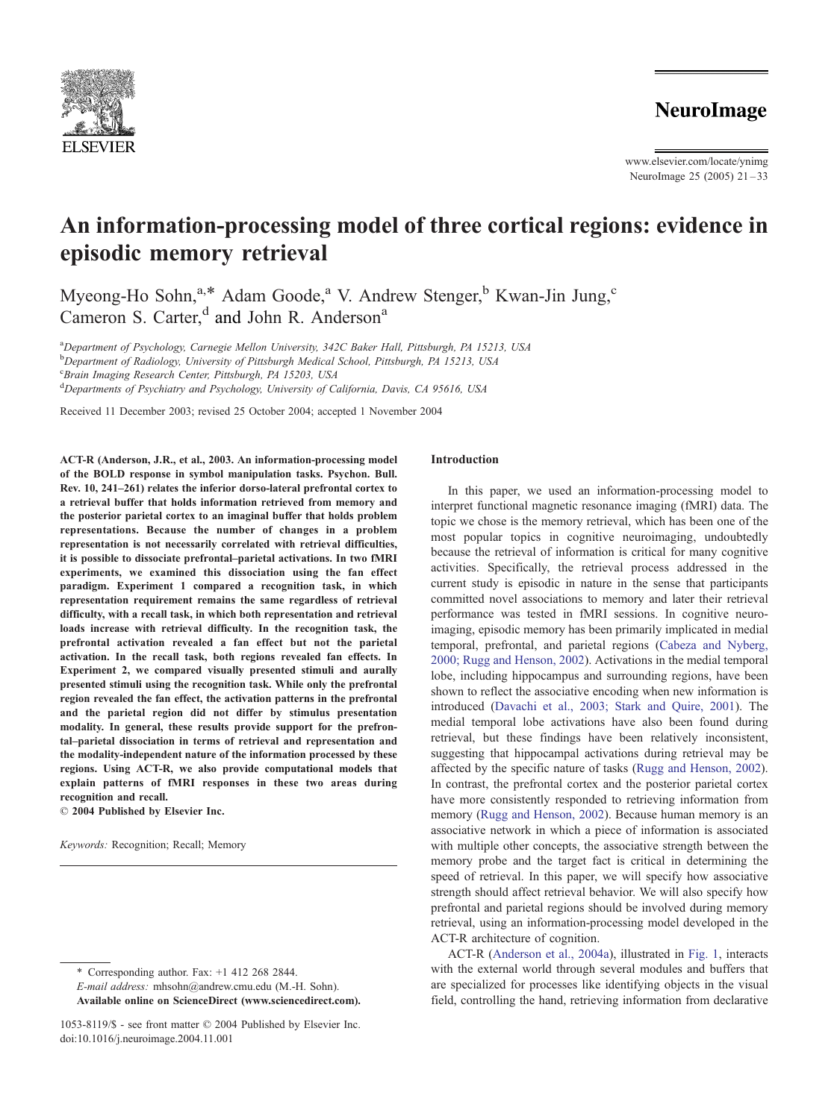

www.elsevier.com/locate/ynimg NeuroImage 25 (2005) 21 – 33

# An information-processing model of three cortical regions: evidence in episodic memory retrieval

Myeong-Ho Sohn,<sup>a,\*</sup> Adam Goode,<sup>a</sup> V. Andrew Stenger,<sup>b</sup> Kwan-Jin Jung,<sup>c</sup> Cameron S. Carter, $d$  and John R. Anderson<sup>a</sup>

<sup>a</sup>Department of Psychology, Carnegie Mellon University, 342C Baker Hall, Pittsburgh, PA 15213, USA **b** Department of Radiology, University of Pittsburgh Medical School, Pittsburgh, PA 15213, USA c Brain Imaging Research Center, Pittsburgh, PA 15203, USA

<sup>d</sup>Departments of Psychiatry and Psychology, University of California, Davis, CA 95616, USA

Received 11 December 2003; revised 25 October 2004; accepted 1 November 2004

ACT-R (Anderson, J.R., et al., 2003. An information-processing model of the BOLD response in symbol manipulation tasks. Psychon. Bull. Rev. 10, 241–261) relates the inferior dorso-lateral prefrontal cortex to a retrieval buffer that holds information retrieved from memory and the posterior parietal cortex to an imaginal buffer that holds problem representations. Because the number of changes in a problem representation is not necessarily correlated with retrieval difficulties, it is possible to dissociate prefrontal–parietal activations. In two fMRI experiments, we examined this dissociation using the fan effect paradigm. Experiment 1 compared a recognition task, in which representation requirement remains the same regardless of retrieval difficulty, with a recall task, in which both representation and retrieval loads increase with retrieval difficulty. In the recognition task, the prefrontal activation revealed a fan effect but not the parietal activation. In the recall task, both regions revealed fan effects. In Experiment 2, we compared visually presented stimuli and aurally presented stimuli using the recognition task. While only the prefrontal region revealed the fan effect, the activation patterns in the prefrontal and the parietal region did not differ by stimulus presentation modality. In general, these results provide support for the prefrontal–parietal dissociation in terms of retrieval and representation and the modality-independent nature of the information processed by these regions. Using ACT-R, we also provide computational models that explain patterns of fMRI responses in these two areas during recognition and recall.

 $© 2004$  Published by Elsevier Inc.

Keywords: Recognition; Recall; Memory

\* Corresponding author. Fax: +1 412 268 2844.

E-mail address: mhsohn@andrew.cmu.edu (M.-H. Sohn). Available online on ScienceDirect (www.sciencedirect.com).

#### Introduction

In this paper, we used an information-processing model to interpret functional magnetic resonance imaging (fMRI) data. The topic we chose is the memory retrieval, which has been one of the most popular topics in cognitive neuroimaging, undoubtedly because the retrieval of information is critical for many cognitive activities. Specifically, the retrieval process addressed in the current study is episodic in nature in the sense that participants committed novel associations to memory and later their retrieval performance was tested in fMRI sessions. In cognitive neuroimaging, episodic memory has been primarily implicated in medial temporal, prefrontal, and parietal regions ([Cabeza and Nyberg,](#page-12-0) 2000; Rugg and Henson, 2002). Activations in the medial temporal lobe, including hippocampus and surrounding regions, have been shown to reflect the associative encoding when new information is introduced ([Davachi et al., 2003; Stark and Quire, 2001\)](#page-12-0). The medial temporal lobe activations have also been found during retrieval, but these findings have been relatively inconsistent, suggesting that hippocampal activations during retrieval may be affected by the specific nature of tasks ([Rugg and Henson, 2002\)](#page-12-0). In contrast, the prefrontal cortex and the posterior parietal cortex have more consistently responded to retrieving information from memory ([Rugg and Henson, 2002\)](#page-12-0). Because human memory is an associative network in which a piece of information is associated with multiple other concepts, the associative strength between the memory probe and the target fact is critical in determining the speed of retrieval. In this paper, we will specify how associative strength should affect retrieval behavior. We will also specify how prefrontal and parietal regions should be involved during memory retrieval, using an information-processing model developed in the ACT-R architecture of cognition.

ACT-R ([Anderson et al., 2004a\)](#page-12-0), illustrated in [Fig. 1,](#page-1-0) interacts with the external world through several modules and buffers that are specialized for processes like identifying objects in the visual field, controlling the hand, retrieving information from declarative

<sup>1053-8119/\$ -</sup> see front matter © 2004 Published by Elsevier Inc. doi:10.1016/j.neuroimage.2004.11.001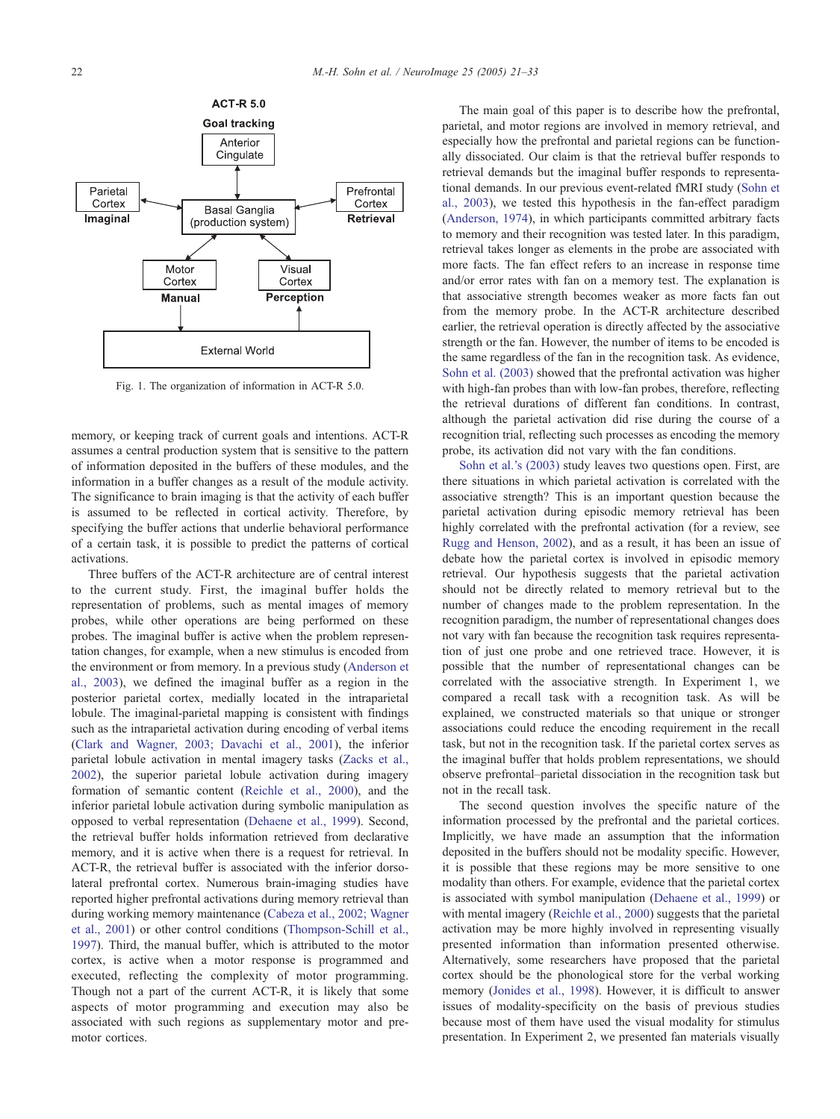<span id="page-1-0"></span>

Fig. 1. The organization of information in ACT-R 5.0.

memory, or keeping track of current goals and intentions. ACT-R assumes a central production system that is sensitive to the pattern of information deposited in the buffers of these modules, and the information in a buffer changes as a result of the module activity. The significance to brain imaging is that the activity of each buffer is assumed to be reflected in cortical activity. Therefore, by specifying the buffer actions that underlie behavioral performance of a certain task, it is possible to predict the patterns of cortical activations.

Three buffers of the ACT-R architecture are of central interest to the current study. First, the imaginal buffer holds the representation of problems, such as mental images of memory probes, while other operations are being performed on these probes. The imaginal buffer is active when the problem representation changes, for example, when a new stimulus is encoded from the environment or from memory. In a previous study ([Anderson et](#page-12-0) al., 2003), we defined the imaginal buffer as a region in the posterior parietal cortex, medially located in the intraparietal lobule. The imaginal-parietal mapping is consistent with findings such as the intraparietal activation during encoding of verbal items ([Clark and Wagner, 2003; Davachi et al., 2001\)](#page-12-0), the inferior parietal lobule activation in mental imagery tasks ([Zacks et al.,](#page-12-0) 2002), the superior parietal lobule activation during imagery formation of semantic content ([Reichle et al., 2000\)](#page-12-0), and the inferior parietal lobule activation during symbolic manipulation as opposed to verbal representation ([Dehaene et al., 1999\)](#page-12-0). Second, the retrieval buffer holds information retrieved from declarative memory, and it is active when there is a request for retrieval. In ACT-R, the retrieval buffer is associated with the inferior dorsolateral prefrontal cortex. Numerous brain-imaging studies have reported higher prefrontal activations during memory retrieval than during working memory maintenance ([Cabeza et al., 2002; Wagner](#page-12-0) et al., 2001) or other control conditions ([Thompson-Schill et al.,](#page-12-0) 1997). Third, the manual buffer, which is attributed to the motor cortex, is active when a motor response is programmed and executed, reflecting the complexity of motor programming. Though not a part of the current ACT-R, it is likely that some aspects of motor programming and execution may also be associated with such regions as supplementary motor and premotor cortices.

The main goal of this paper is to describe how the prefrontal, parietal, and motor regions are involved in memory retrieval, and especially how the prefrontal and parietal regions can be functionally dissociated. Our claim is that the retrieval buffer responds to retrieval demands but the imaginal buffer responds to representational demands. In our previous event-related fMRI study ([Sohn et](#page-12-0) al., 2003), we tested this hypothesis in the fan-effect paradigm ([Anderson, 1974\)](#page-12-0), in which participants committed arbitrary facts to memory and their recognition was tested later. In this paradigm, retrieval takes longer as elements in the probe are associated with more facts. The fan effect refers to an increase in response time and/or error rates with fan on a memory test. The explanation is that associative strength becomes weaker as more facts fan out from the memory probe. In the ACT-R architecture described earlier, the retrieval operation is directly affected by the associative strength or the fan. However, the number of items to be encoded is the same regardless of the fan in the recognition task. As evidence, [Sohn et al. \(2003\)](#page-12-0) showed that the prefrontal activation was higher with high-fan probes than with low-fan probes, therefore, reflecting the retrieval durations of different fan conditions. In contrast, although the parietal activation did rise during the course of a recognition trial, reflecting such processes as encoding the memory probe, its activation did not vary with the fan conditions.

[Sohn et al.'s \(2003\)](#page-12-0) study leaves two questions open. First, are there situations in which parietal activation is correlated with the associative strength? This is an important question because the parietal activation during episodic memory retrieval has been highly correlated with the prefrontal activation (for a review, see [Rugg and Henson, 2002\)](#page-12-0), and as a result, it has been an issue of debate how the parietal cortex is involved in episodic memory retrieval. Our hypothesis suggests that the parietal activation should not be directly related to memory retrieval but to the number of changes made to the problem representation. In the recognition paradigm, the number of representational changes does not vary with fan because the recognition task requires representation of just one probe and one retrieved trace. However, it is possible that the number of representational changes can be correlated with the associative strength. In Experiment 1, we compared a recall task with a recognition task. As will be explained, we constructed materials so that unique or stronger associations could reduce the encoding requirement in the recall task, but not in the recognition task. If the parietal cortex serves as the imaginal buffer that holds problem representations, we should observe prefrontal–parietal dissociation in the recognition task but not in the recall task.

The second question involves the specific nature of the information processed by the prefrontal and the parietal cortices. Implicitly, we have made an assumption that the information deposited in the buffers should not be modality specific. However, it is possible that these regions may be more sensitive to one modality than others. For example, evidence that the parietal cortex is associated with symbol manipulation ([Dehaene et al., 1999\)](#page-12-0) or with mental imagery ([Reichle et al., 2000\)](#page-12-0) suggests that the parietal activation may be more highly involved in representing visually presented information than information presented otherwise. Alternatively, some researchers have proposed that the parietal cortex should be the phonological store for the verbal working memory ([Jonides et al., 1998\)](#page-12-0). However, it is difficult to answer issues of modality-specificity on the basis of previous studies because most of them have used the visual modality for stimulus presentation. In Experiment 2, we presented fan materials visually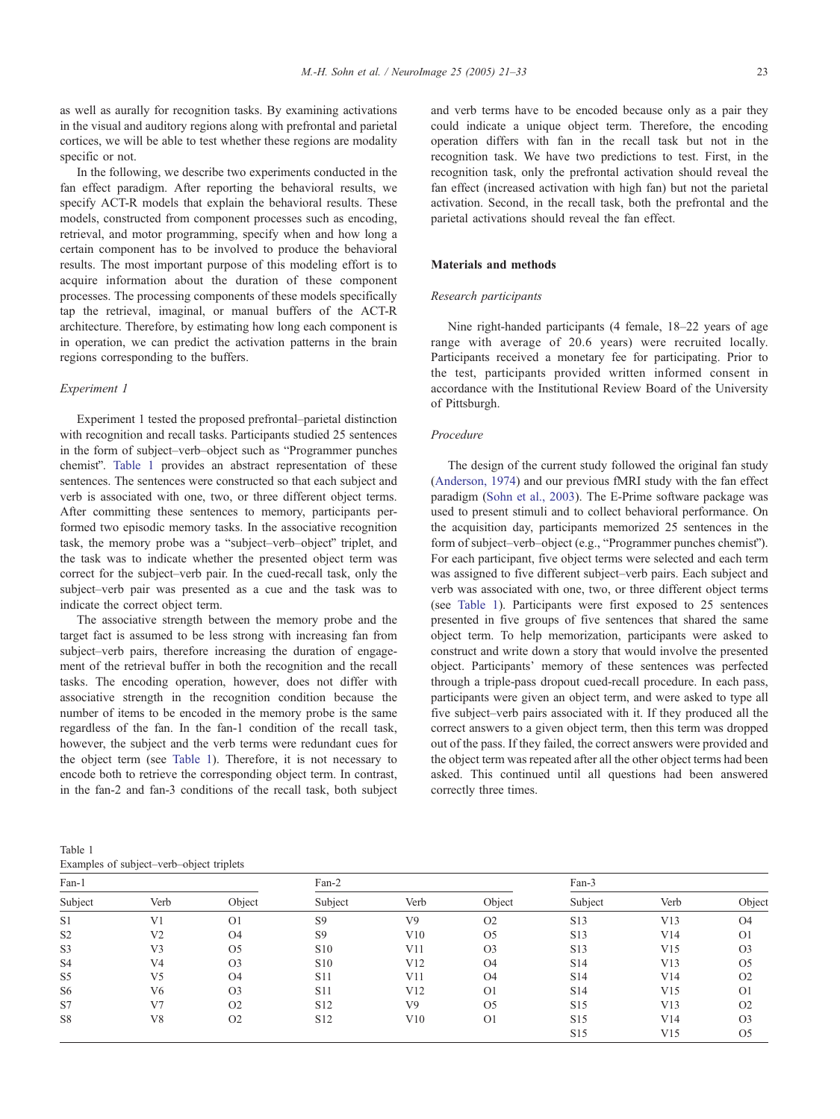as well as aurally for recognition tasks. By examining activations in the visual and auditory regions along with prefrontal and parietal cortices, we will be able to test whether these regions are modality specific or not.

In the following, we describe two experiments conducted in the fan effect paradigm. After reporting the behavioral results, we specify ACT-R models that explain the behavioral results. These models, constructed from component processes such as encoding, retrieval, and motor programming, specify when and how long a certain component has to be involved to produce the behavioral results. The most important purpose of this modeling effort is to acquire information about the duration of these component processes. The processing components of these models specifically tap the retrieval, imaginal, or manual buffers of the ACT-R architecture. Therefore, by estimating how long each component is in operation, we can predict the activation patterns in the brain regions corresponding to the buffers.

## Experiment 1

Experiment 1 tested the proposed prefrontal–parietal distinction with recognition and recall tasks. Participants studied 25 sentences in the form of subject–verb–object such as "Programmer punches chemist". Table 1 provides an abstract representation of these sentences. The sentences were constructed so that each subject and verb is associated with one, two, or three different object terms. After committing these sentences to memory, participants performed two episodic memory tasks. In the associative recognition task, the memory probe was a "subject-verb-object" triplet, and the task was to indicate whether the presented object term was correct for the subject–verb pair. In the cued-recall task, only the subject–verb pair was presented as a cue and the task was to indicate the correct object term.

The associative strength between the memory probe and the target fact is assumed to be less strong with increasing fan from subject–verb pairs, therefore increasing the duration of engagement of the retrieval buffer in both the recognition and the recall tasks. The encoding operation, however, does not differ with associative strength in the recognition condition because the number of items to be encoded in the memory probe is the same regardless of the fan. In the fan-1 condition of the recall task, however, the subject and the verb terms were redundant cues for the object term (see Table 1). Therefore, it is not necessary to encode both to retrieve the corresponding object term. In contrast, in the fan-2 and fan-3 conditions of the recall task, both subject

Table 1 Examples of subject–verb–object triplets

and verb terms have to be encoded because only as a pair they could indicate a unique object term. Therefore, the encoding operation differs with fan in the recall task but not in the recognition task. We have two predictions to test. First, in the recognition task, only the prefrontal activation should reveal the fan effect (increased activation with high fan) but not the parietal activation. Second, in the recall task, both the prefrontal and the parietal activations should reveal the fan effect.

## Materials and methods

## Research participants

Nine right-handed participants (4 female, 18–22 years of age range with average of 20.6 years) were recruited locally. Participants received a monetary fee for participating. Prior to the test, participants provided written informed consent in accordance with the Institutional Review Board of the University of Pittsburgh.

## Procedure

The design of the current study followed the original fan study ([Anderson, 1974\)](#page-12-0) and our previous fMRI study with the fan effect paradigm ([Sohn et al., 2003\)](#page-12-0). The E-Prime software package was used to present stimuli and to collect behavioral performance. On the acquisition day, participants memorized 25 sentences in the form of subject–verb–object (e.g., "Programmer punches chemist"). For each participant, five object terms were selected and each term was assigned to five different subject–verb pairs. Each subject and verb was associated with one, two, or three different object terms (see Table 1). Participants were first exposed to 25 sentences presented in five groups of five sentences that shared the same object term. To help memorization, participants were asked to construct and write down a story that would involve the presented object. Participants' memory of these sentences was perfected through a triple-pass dropout cued-recall procedure. In each pass, participants were given an object term, and were asked to type all five subject–verb pairs associated with it. If they produced all the correct answers to a given object term, then this term was dropped out of the pass. If they failed, the correct answers were provided and the object term was repeated after all the other object terms had been asked. This continued until all questions had been answered correctly three times.

| Fan-1          |                |                | Fan-2           |      |                | Fan-3           |      |                |  |
|----------------|----------------|----------------|-----------------|------|----------------|-----------------|------|----------------|--|
| Subject        | Verb           | Object         | Subject         | Verb | Object         | Subject         | Verb | Object         |  |
| S <sub>1</sub> | V <sub>1</sub> | O <sub>1</sub> | S <sub>9</sub>  | V9   | O <sub>2</sub> | S <sub>13</sub> | V13  | O <sub>4</sub> |  |
| S <sub>2</sub> | V <sub>2</sub> | O <sub>4</sub> | S <sub>9</sub>  | V10  | O <sub>5</sub> | S13             | V14  | O <sub>1</sub> |  |
| S3             | V3             | O <sub>5</sub> | S10             | V11  | O <sub>3</sub> | S13             | V15  | O <sub>3</sub> |  |
| S4             | V <sub>4</sub> | O <sub>3</sub> | S10             | V12  | <b>O4</b>      | S14             | V13  | O <sub>5</sub> |  |
| S5             | V <sub>5</sub> | O <sub>4</sub> | <b>S11</b>      | V11  | <b>O4</b>      | S <sub>14</sub> | V14  | O <sub>2</sub> |  |
| S6             | V6             | O <sub>3</sub> | S <sub>11</sub> | V12  | O <sub>1</sub> | S <sub>14</sub> | V15  | O <sub>1</sub> |  |
| S7             | V <sub>7</sub> | O <sub>2</sub> | S <sub>12</sub> | V9   | O <sub>5</sub> | S15             | V13  | O <sub>2</sub> |  |
| S8             | V8             | O <sub>2</sub> | S12             | V10  | O <sub>1</sub> | S <sub>15</sub> | V14  | O <sub>3</sub> |  |
|                |                |                |                 |      |                | S15             | V15  | O <sub>5</sub> |  |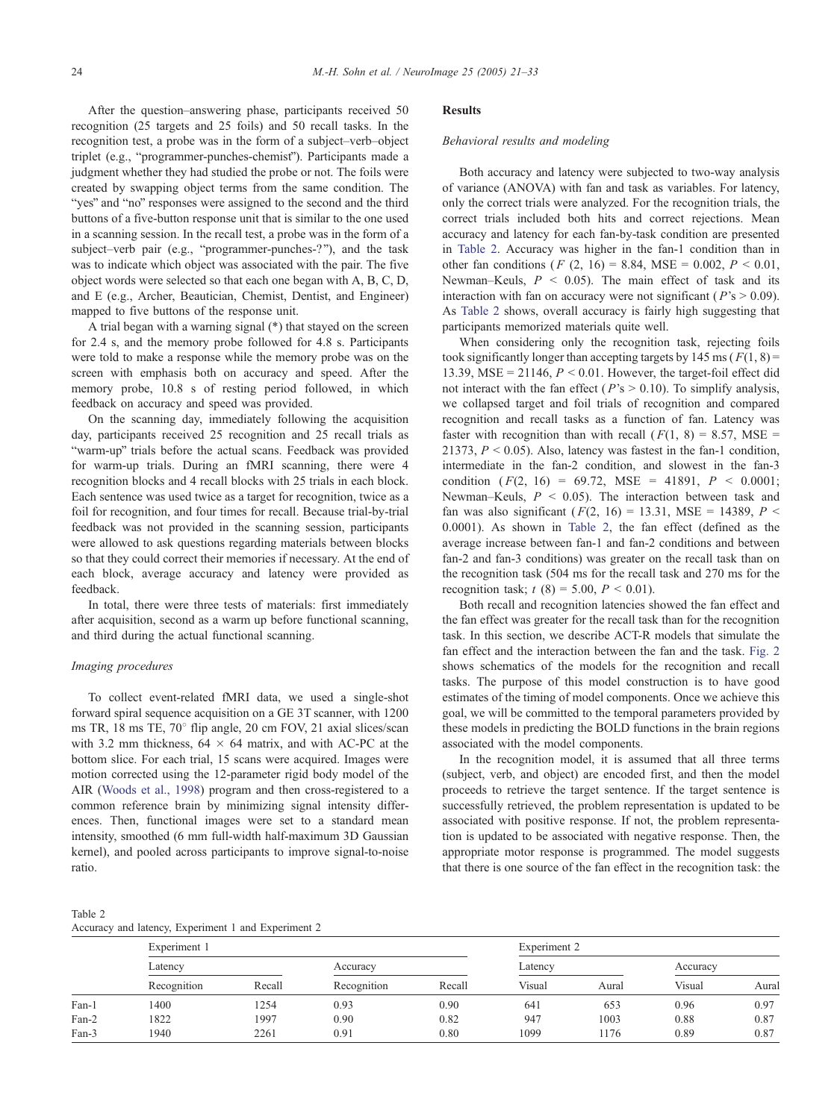<span id="page-3-0"></span>After the question–answering phase, participants received 50 recognition (25 targets and 25 foils) and 50 recall tasks. In the recognition test, a probe was in the form of a subject–verb–object triplet (e.g., "programmer-punches-chemist"). Participants made a judgment whether they had studied the probe or not. The foils were created by swapping object terms from the same condition. The "yes" and "no" responses were assigned to the second and the third buttons of a five-button response unit that is similar to the one used in a scanning session. In the recall test, a probe was in the form of a subject–verb pair (e.g., "programmer-punches-?"), and the task was to indicate which object was associated with the pair. The five object words were selected so that each one began with A, B, C, D, and E (e.g., Archer, Beautician, Chemist, Dentist, and Engineer) mapped to five buttons of the response unit.

A trial began with a warning signal (\*) that stayed on the screen for 2.4 s, and the memory probe followed for 4.8 s. Participants were told to make a response while the memory probe was on the screen with emphasis both on accuracy and speed. After the memory probe, 10.8 s of resting period followed, in which feedback on accuracy and speed was provided.

On the scanning day, immediately following the acquisition day, participants received 25 recognition and 25 recall trials as "warm-up" trials before the actual scans. Feedback was provided for warm-up trials. During an fMRI scanning, there were 4 recognition blocks and 4 recall blocks with 25 trials in each block. Each sentence was used twice as a target for recognition, twice as a foil for recognition, and four times for recall. Because trial-by-trial feedback was not provided in the scanning session, participants were allowed to ask questions regarding materials between blocks so that they could correct their memories if necessary. At the end of each block, average accuracy and latency were provided as feedback.

In total, there were three tests of materials: first immediately after acquisition, second as a warm up before functional scanning, and third during the actual functional scanning.

#### Imaging procedures

To collect event-related fMRI data, we used a single-shot forward spiral sequence acquisition on a GE 3T scanner, with 1200 ms TR, 18 ms TE, 70° flip angle, 20 cm FOV, 21 axial slices/scan with 3.2 mm thickness,  $64 \times 64$  matrix, and with AC-PC at the bottom slice. For each trial, 15 scans were acquired. Images were motion corrected using the 12-parameter rigid body model of the AIR [\(Woods et al., 1998\)](#page-12-0) program and then cross-registered to a common reference brain by minimizing signal intensity differences. Then, functional images were set to a standard mean intensity, smoothed (6 mm full-width half-maximum 3D Gaussian kernel), and pooled across participants to improve signal-to-noise ratio.

Table 2 Accuracy and latency, Experiment 1 and Experiment 2

## Results

#### Behavioral results and modeling

Both accuracy and latency were subjected to two-way analysis of variance (ANOVA) with fan and task as variables. For latency, only the correct trials were analyzed. For the recognition trials, the correct trials included both hits and correct rejections. Mean accuracy and latency for each fan-by-task condition are presented in Table 2. Accuracy was higher in the fan-1 condition than in other fan conditions ( $F(2, 16) = 8.84$ , MSE = 0.002,  $P \le 0.01$ , Newman–Keuls,  $P \le 0.05$ ). The main effect of task and its interaction with fan on accuracy were not significant ( $P$ 's  $> 0.09$ ). As Table 2 shows, overall accuracy is fairly high suggesting that participants memorized materials quite well.

When considering only the recognition task, rejecting foils took significantly longer than accepting targets by 145 ms  $(F(1, 8))$  = 13.39, MSE = 21146,  $P \le 0.01$ . However, the target-foil effect did not interact with the fan effect ( $P$ 's  $> 0.10$ ). To simplify analysis, we collapsed target and foil trials of recognition and compared recognition and recall tasks as a function of fan. Latency was faster with recognition than with recall ( $F(1, 8) = 8.57$ , MSE = 21373,  $P \le 0.05$ ). Also, latency was fastest in the fan-1 condition, intermediate in the fan-2 condition, and slowest in the fan-3 condition  $(F(2, 16) = 69.72, \text{MSE} = 41891, P \le 0.0001;$ Newman–Keuls,  $P \le 0.05$ ). The interaction between task and fan was also significant ( $F(2, 16) = 13.31$ , MSE = 14389,  $P \le$ 0.0001). As shown in Table 2, the fan effect (defined as the average increase between fan-1 and fan-2 conditions and between fan-2 and fan-3 conditions) was greater on the recall task than on the recognition task (504 ms for the recall task and 270 ms for the recognition task;  $t(8) = 5.00, P < 0.01$ .

Both recall and recognition latencies showed the fan effect and the fan effect was greater for the recall task than for the recognition task. In this section, we describe ACT-R models that simulate the fan effect and the interaction between the fan and the task. [Fig. 2](#page-4-0) shows schematics of the models for the recognition and recall tasks. The purpose of this model construction is to have good estimates of the timing of model components. Once we achieve this goal, we will be committed to the temporal parameters provided by these models in predicting the BOLD functions in the brain regions associated with the model components.

In the recognition model, it is assumed that all three terms (subject, verb, and object) are encoded first, and then the model proceeds to retrieve the target sentence. If the target sentence is successfully retrieved, the problem representation is updated to be associated with positive response. If not, the problem representation is updated to be associated with negative response. Then, the appropriate motor response is programmed. The model suggests that there is one source of the fan effect in the recognition task: the

| .     | Experiment 1 | Experiment 2 |             |        |         |       |          |       |
|-------|--------------|--------------|-------------|--------|---------|-------|----------|-------|
|       | Latency      |              | Accuracy    |        | Latency |       | Accuracy |       |
|       | Recognition  | Recall       | Recognition | Recall | Visual  | Aural | Visual   | Aural |
| Fan-1 | 1400         | 1254         | 0.93        | 0.90   | 641     | 653   | 0.96     | 0.97  |
| Fan-2 | 1822         | 1997         | 0.90        | 0.82   | 947     | 1003  | 0.88     | 0.87  |
| Fan-3 | 1940         | 2261         | 0.91        | 0.80   | 1099    | 1176  | 0.89     | 0.87  |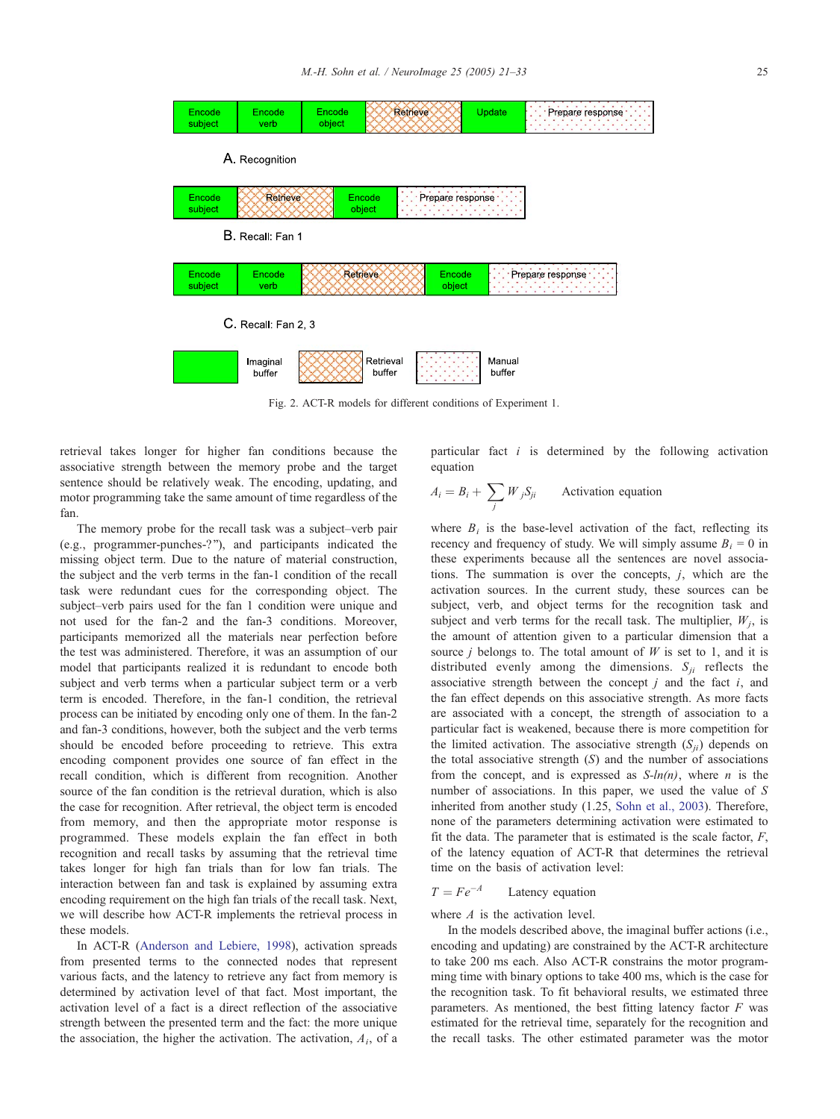<span id="page-4-0"></span>

Fig. 2. ACT-R models for different conditions of Experiment 1.

retrieval takes longer for higher fan conditions because the associative strength between the memory probe and the target sentence should be relatively weak. The encoding, updating, and motor programming take the same amount of time regardless of the fan.

The memory probe for the recall task was a subject–verb pair (e.g., programmer-punches-?"), and participants indicated the missing object term. Due to the nature of material construction, the subject and the verb terms in the fan-1 condition of the recall task were redundant cues for the corresponding object. The subject–verb pairs used for the fan 1 condition were unique and not used for the fan-2 and the fan-3 conditions. Moreover, participants memorized all the materials near perfection before the test was administered. Therefore, it was an assumption of our model that participants realized it is redundant to encode both subject and verb terms when a particular subject term or a verb term is encoded. Therefore, in the fan-1 condition, the retrieval process can be initiated by encoding only one of them. In the fan-2 and fan-3 conditions, however, both the subject and the verb terms should be encoded before proceeding to retrieve. This extra encoding component provides one source of fan effect in the recall condition, which is different from recognition. Another source of the fan condition is the retrieval duration, which is also the case for recognition. After retrieval, the object term is encoded from memory, and then the appropriate motor response is programmed. These models explain the fan effect in both recognition and recall tasks by assuming that the retrieval time takes longer for high fan trials than for low fan trials. The interaction between fan and task is explained by assuming extra encoding requirement on the high fan trials of the recall task. Next, we will describe how ACT-R implements the retrieval process in these models.

In ACT-R ([Anderson and Lebiere, 1998\)](#page-12-0), activation spreads from presented terms to the connected nodes that represent various facts, and the latency to retrieve any fact from memory is determined by activation level of that fact. Most important, the activation level of a fact is a direct reflection of the associative strength between the presented term and the fact: the more unique the association, the higher the activation. The activation,  $A_i$ , of a

particular fact  $i$  is determined by the following activation equation

$$
A_i = B_i + \sum_j W_j S_{ji}
$$
 Activation equation

where  $B_i$  is the base-level activation of the fact, reflecting its recency and frequency of study. We will simply assume  $B_i = 0$  in these experiments because all the sentences are novel associations. The summation is over the concepts, j, which are the activation sources. In the current study, these sources can be subject, verb, and object terms for the recognition task and subject and verb terms for the recall task. The multiplier,  $W_i$ , is the amount of attention given to a particular dimension that a source *j* belongs to. The total amount of  $W$  is set to 1, and it is distributed evenly among the dimensions.  $S_{ii}$  reflects the associative strength between the concept  $i$  and the fact  $i$ , and the fan effect depends on this associative strength. As more facts are associated with a concept, the strength of association to a particular fact is weakened, because there is more competition for the limited activation. The associative strength  $(S_{ii})$  depends on the total associative strength  $(S)$  and the number of associations from the concept, and is expressed as  $S-In(n)$ , where *n* is the number of associations. In this paper, we used the value of S inherited from another study (1.25, [Sohn et al., 2003\)](#page-12-0). Therefore, none of the parameters determining activation were estimated to fit the data. The parameter that is estimated is the scale factor,  $F$ , of the latency equation of ACT-R that determines the retrieval time on the basis of activation level:

## $T = Fe^{-A}$  Latency equation

where *A* is the activation level.

In the models described above, the imaginal buffer actions (i.e., encoding and updating) are constrained by the ACT-R architecture to take 200 ms each. Also ACT-R constrains the motor programming time with binary options to take 400 ms, which is the case for the recognition task. To fit behavioral results, we estimated three parameters. As mentioned, the best fitting latency factor  $F$  was estimated for the retrieval time, separately for the recognition and the recall tasks. The other estimated parameter was the motor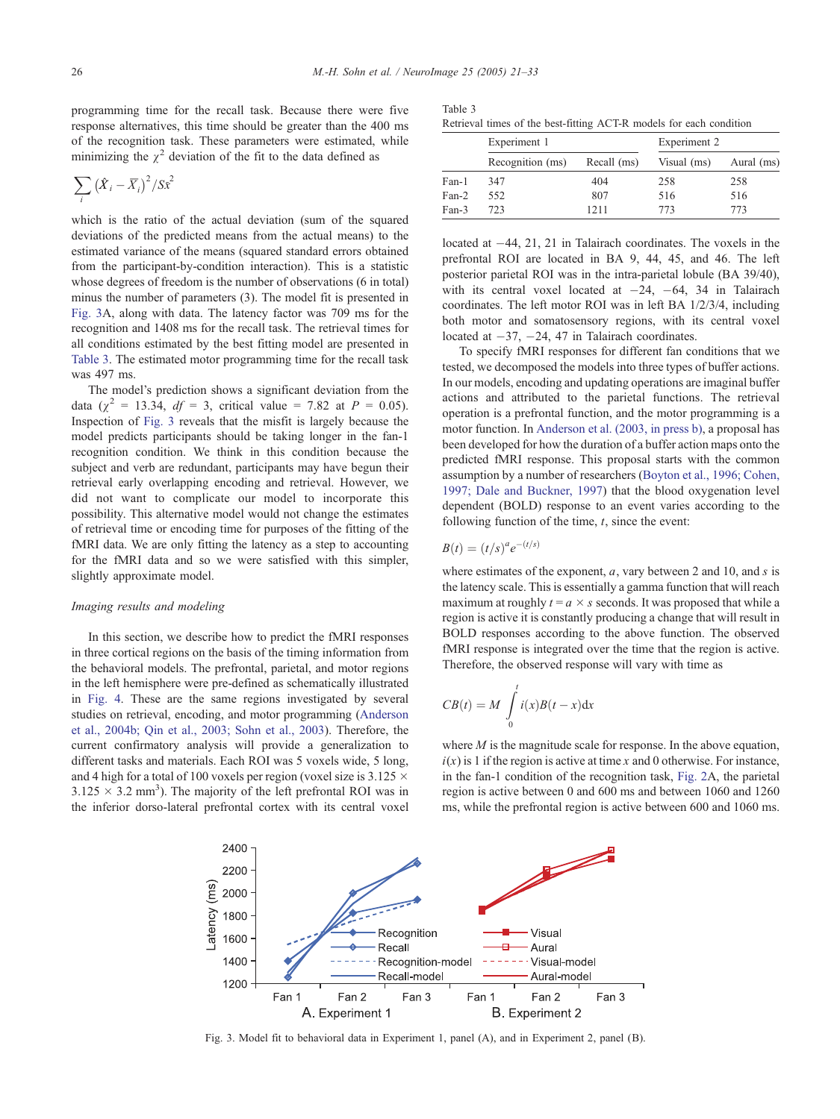<span id="page-5-0"></span>programming time for the recall task. Because there were five response alternatives, this time should be greater than the 400 ms of the recognition task. These parameters were estimated, while minimizing the  $\gamma^2$  deviation of the fit to the data defined as

$$
\sum_i (\hat{X}_i - \overline{X}_i)^2 / S \overline{x}^2
$$

which is the ratio of the actual deviation (sum of the squared deviations of the predicted means from the actual means) to the estimated variance of the means (squared standard errors obtained from the participant-by-condition interaction). This is a statistic whose degrees of freedom is the number of observations (6 in total) minus the number of parameters (3). The model fit is presented in Fig. 3A, along with data. The latency factor was 709 ms for the recognition and 1408 ms for the recall task. The retrieval times for all conditions estimated by the best fitting model are presented in Table 3. The estimated motor programming time for the recall task was 497 ms.

The model's prediction shows a significant deviation from the data ( $\chi^2 = 13.34$ ,  $df = 3$ , critical value = 7.82 at  $P = 0.05$ ). Inspection of Fig. 3 reveals that the misfit is largely because the model predicts participants should be taking longer in the fan-1 recognition condition. We think in this condition because the subject and verb are redundant, participants may have begun their retrieval early overlapping encoding and retrieval. However, we did not want to complicate our model to incorporate this possibility. This alternative model would not change the estimates of retrieval time or encoding time for purposes of the fitting of the fMRI data. We are only fitting the latency as a step to accounting for the fMRI data and so we were satisfied with this simpler, slightly approximate model.

#### Imaging results and modeling

In this section, we describe how to predict the fMRI responses in three cortical regions on the basis of the timing information from the behavioral models. The prefrontal, parietal, and motor regions in the left hemisphere were pre-defined as schematically illustrated in [Fig. 4.](#page-6-0) These are the same regions investigated by several studies on retrieval, encoding, and motor programming ([Anderson](#page-12-0) et al., 2004b; Qin et al., 2003; Sohn et al., 2003). Therefore, the current confirmatory analysis will provide a generalization to different tasks and materials. Each ROI was 5 voxels wide, 5 long, and 4 high for a total of 100 voxels per region (voxel size is  $3.125 \times$  $3.125 \times 3.2$  mm<sup>3</sup>). The majority of the left prefrontal ROI was in the inferior dorso-lateral prefrontal cortex with its central voxel

| Table 3 |  |                                                                     |  |  |  |
|---------|--|---------------------------------------------------------------------|--|--|--|
|         |  | Retrieval times of the best-fitting ACT-R models for each condition |  |  |  |

|       | Experiment 1     |             | Experiment 2 |            |  |
|-------|------------------|-------------|--------------|------------|--|
|       | Recognition (ms) | Recall (ms) | Visual (ms)  | Aural (ms) |  |
| Fan-1 | 347              | 404         | 258          | 258        |  |
| Fan-2 | 552              | 807         | 516          | 516        |  |
| Fan-3 | 723              | 1211        | 773          | 773        |  |

located at  $-44$ , 21, 21 in Talairach coordinates. The voxels in the prefrontal ROI are located in BA 9, 44, 45, and 46. The left posterior parietal ROI was in the intra-parietal lobule (BA 39/40), with its central voxel located at  $-24$ ,  $-64$ , 34 in Talairach coordinates. The left motor ROI was in left BA 1/2/3/4, including both motor and somatosensory regions, with its central voxel located at  $-37$ ,  $-24$ , 47 in Talairach coordinates.

To specify fMRI responses for different fan conditions that we tested, we decomposed the models into three types of buffer actions. In our models, encoding and updating operations are imaginal buffer actions and attributed to the parietal functions. The retrieval operation is a prefrontal function, and the motor programming is a motor function. In [Anderson et al. \(2003, in press b\),](#page-12-0) a proposal has been developed for how the duration of a buffer action maps onto the predicted fMRI response. This proposal starts with the common assumption by a number of researchers ([Boyton et al., 1996; Cohen,](#page-12-0) 1997; Dale and Buckner, 1997) that the blood oxygenation level dependent (BOLD) response to an event varies according to the following function of the time,  $t$ , since the event:

$$
B(t) = (t/s)^a e^{-(t/s)}
$$

where estimates of the exponent,  $a$ , vary between 2 and 10, and  $s$  is the latency scale. This is essentially a gamma function that will reach maximum at roughly  $t = a \times s$  seconds. It was proposed that while a region is active it is constantly producing a change that will result in BOLD responses according to the above function. The observed fMRI response is integrated over the time that the region is active. Therefore, the observed response will vary with time as

$$
CB(t) = M \int_{0}^{t} i(x)B(t - x)dx
$$

where  $M$  is the magnitude scale for response. In the above equation,  $i(x)$  is 1 if the region is active at time x and 0 otherwise. For instance, in the fan-1 condition of the recognition task, [Fig. 2A](#page-4-0), the parietal region is active between 0 and 600 ms and between 1060 and 1260 ms, while the prefrontal region is active between 600 and 1060 ms.



Fig. 3. Model fit to behavioral data in Experiment 1, panel (A), and in Experiment 2, panel (B).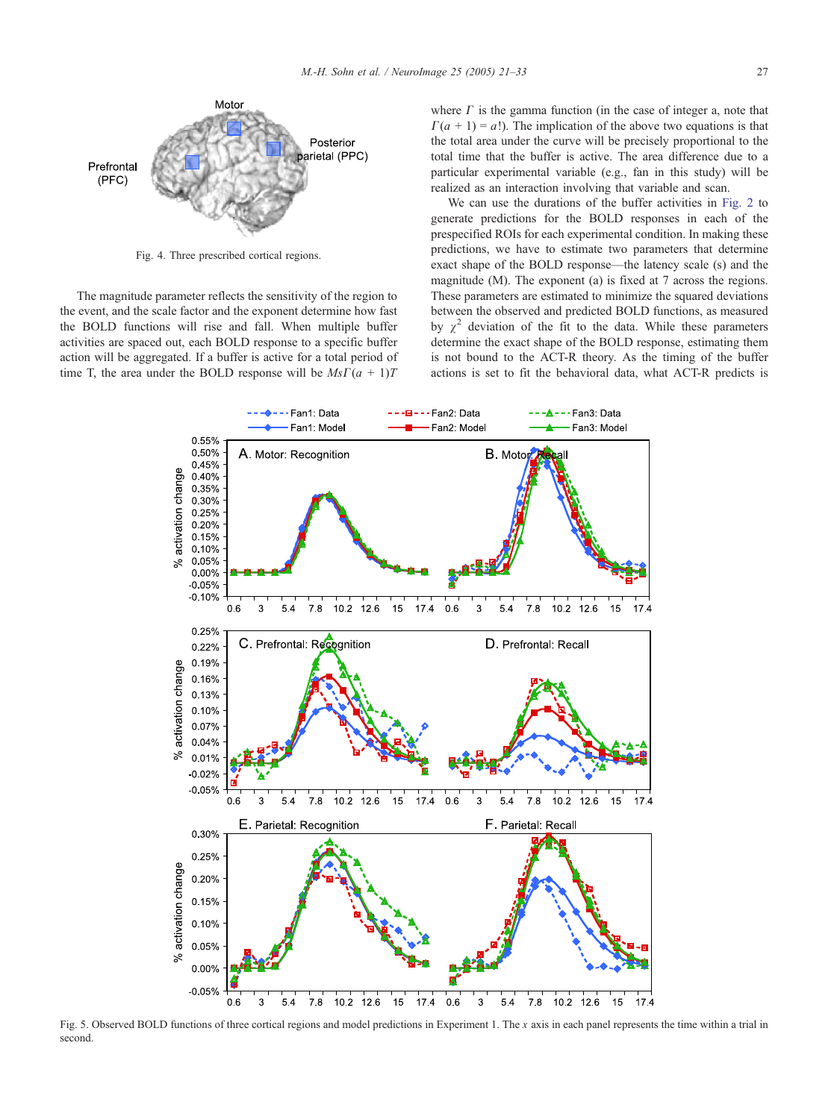<span id="page-6-0"></span>

Fig. 4. Three prescribed cortical regions.

The magnitude parameter reflects the sensitivity of the region to the event, and the scale factor and the exponent determine how fast the BOLD functions will rise and fall. When multiple buffer activities are spaced out, each BOLD response to a specific buffer action will be aggregated. If a buffer is active for a total period of time T, the area under the BOLD response will be  $Ms\Gamma(a + 1)T$ 

where  $\Gamma$  is the gamma function (in the case of integer a, note that  $\Gamma(a + 1) = a!$ ). The implication of the above two equations is that the total area under the curve will be precisely proportional to the total time that the buffer is active. The area difference due to a particular experimental variable (e.g., fan in this study) will be realized as an interaction involving that variable and scan.

We can use the durations of the buffer activities in [Fig. 2](#page-4-0) to generate predictions for the BOLD responses in each of the prespecified ROIs for each experimental condition. In making these predictions, we have to estimate two parameters that determine exact shape of the BOLD response—the latency scale (s) and the magnitude (M). The exponent (a) is fixed at 7 across the regions. These parameters are estimated to minimize the squared deviations between the observed and predicted BOLD functions, as measured by  $\chi^2$  deviation of the fit to the data. While these parameters determine the exact shape of the BOLD response, estimating them is not bound to the ACT-R theory. As the timing of the buffer actions is set to fit the behavioral data, what ACT-R predicts is



Fig. 5. Observed BOLD functions of three cortical regions and model predictions in Experiment 1. The x axis in each panel represents the time within a trial in second.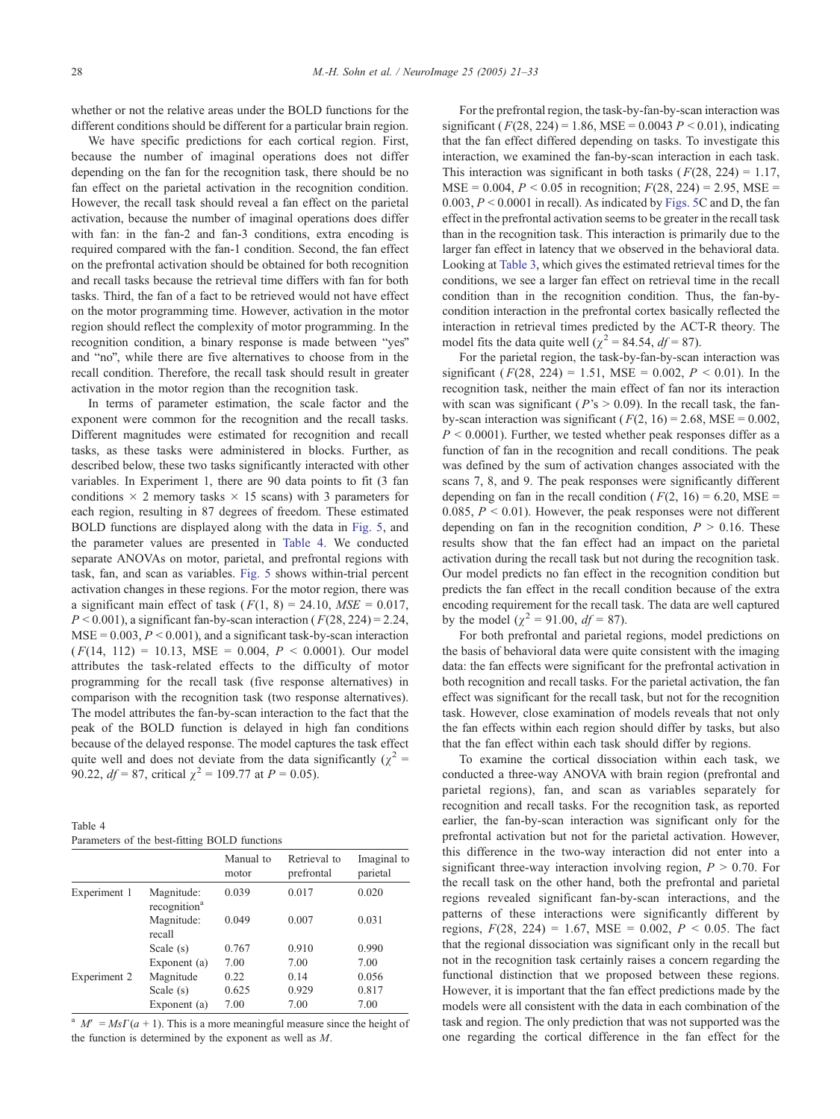<span id="page-7-0"></span>whether or not the relative areas under the BOLD functions for the different conditions should be different for a particular brain region.

We have specific predictions for each cortical region. First, because the number of imaginal operations does not differ depending on the fan for the recognition task, there should be no fan effect on the parietal activation in the recognition condition. However, the recall task should reveal a fan effect on the parietal activation, because the number of imaginal operations does differ with fan: in the fan-2 and fan-3 conditions, extra encoding is required compared with the fan-1 condition. Second, the fan effect on the prefrontal activation should be obtained for both recognition and recall tasks because the retrieval time differs with fan for both tasks. Third, the fan of a fact to be retrieved would not have effect on the motor programming time. However, activation in the motor region should reflect the complexity of motor programming. In the recognition condition, a binary response is made between "yes" and "no", while there are five alternatives to choose from in the recall condition. Therefore, the recall task should result in greater activation in the motor region than the recognition task.

In terms of parameter estimation, the scale factor and the exponent were common for the recognition and the recall tasks. Different magnitudes were estimated for recognition and recall tasks, as these tasks were administered in blocks. Further, as described below, these two tasks significantly interacted with other variables. In Experiment 1, there are 90 data points to fit (3 fan conditions  $\times$  2 memory tasks  $\times$  15 scans) with 3 parameters for each region, resulting in 87 degrees of freedom. These estimated BOLD functions are displayed along with the data in [Fig. 5,](#page-6-0) and the parameter values are presented in Table 4. We conducted separate ANOVAs on motor, parietal, and prefrontal regions with task, fan, and scan as variables. [Fig. 5](#page-6-0) shows within-trial percent activation changes in these regions. For the motor region, there was a significant main effect of task  $(F(1, 8) = 24.10, MSE = 0.017,$  $P < 0.001$ ), a significant fan-by-scan interaction ( $F(28, 224) = 2.24$ ,  $MSE = 0.003, P < 0.001$ , and a significant task-by-scan interaction  $(F(14, 112) = 10.13, MSE = 0.004, P < 0.0001)$ . Our model attributes the task-related effects to the difficulty of motor programming for the recall task (five response alternatives) in comparison with the recognition task (two response alternatives). The model attributes the fan-by-scan interaction to the fact that the peak of the BOLD function is delayed in high fan conditions because of the delayed response. The model captures the task effect quite well and does not deviate from the data significantly ( $\chi^2$  = 90.22,  $df = 87$ , critical  $\chi^2 = 109.77$  at  $P = 0.05$ ).

| Table 4 |                                               |  |  |
|---------|-----------------------------------------------|--|--|
|         | Parameters of the best-fitting BOLD functions |  |  |

|              |                                        | Manual to<br>motor | Retrieval to<br>prefrontal | Imaginal to<br>parietal |
|--------------|----------------------------------------|--------------------|----------------------------|-------------------------|
| Experiment 1 | Magnitude:<br>recognition <sup>a</sup> | 0.039              | 0.017                      | 0.020                   |
|              | Magnitude:<br>recall                   | 0.049              | 0.007                      | 0.031                   |
|              | Scale $(s)$                            | 0.767              | 0.910                      | 0.990                   |
|              | Exponent (a)                           | 7.00               | 7.00                       | 7.00                    |
| Experiment 2 | Magnitude                              | 0.22               | 0.14                       | 0.056                   |
|              | Scale $(s)$                            | 0.625              | 0.929                      | 0.817                   |
|              | Exponent (a)                           | 7.00               | 7.00                       | 7.00                    |

<sup>a</sup>  $M' = Ms\Gamma(a + 1)$ . This is a more meaningful measure since the height of the function is determined by the exponent as well as  $M$ .

For the prefrontal region, the task-by-fan-by-scan interaction was significant ( $F(28, 224) = 1.86$ , MSE = 0.0043  $P \le 0.01$ ), indicating that the fan effect differed depending on tasks. To investigate this interaction, we examined the fan-by-scan interaction in each task. This interaction was significant in both tasks  $(F(28, 224) = 1.17,$  $MSE = 0.004$ ,  $P < 0.05$  in recognition;  $F(28, 224) = 2.95$ ,  $MSE =$ 0.003,  $P \le 0.0001$  in recall). As indicated by [Figs. 5C](#page-6-0) and D, the fan effect in the prefrontal activation seems to be greater in the recall task than in the recognition task. This interaction is primarily due to the larger fan effect in latency that we observed in the behavioral data. Looking at [Table 3,](#page-5-0) which gives the estimated retrieval times for the conditions, we see a larger fan effect on retrieval time in the recall condition than in the recognition condition. Thus, the fan-bycondition interaction in the prefrontal cortex basically reflected the interaction in retrieval times predicted by the ACT-R theory. The model fits the data quite well ( $\chi^2$  = 84.54, df = 87).

For the parietal region, the task-by-fan-by-scan interaction was significant ( $F(28, 224) = 1.51$ , MSE = 0.002,  $P \le 0.01$ ). In the recognition task, neither the main effect of fan nor its interaction with scan was significant ( $P$ 's  $> 0.09$ ). In the recall task, the fanby-scan interaction was significant ( $F(2, 16) = 2.68$ , MSE = 0.002,  $P \le 0.0001$ ). Further, we tested whether peak responses differ as a function of fan in the recognition and recall conditions. The peak was defined by the sum of activation changes associated with the scans 7, 8, and 9. The peak responses were significantly different depending on fan in the recall condition ( $F(2, 16) = 6.20$ , MSE = 0.085,  $P \le 0.01$ ). However, the peak responses were not different depending on fan in the recognition condition,  $P > 0.16$ . These results show that the fan effect had an impact on the parietal activation during the recall task but not during the recognition task. Our model predicts no fan effect in the recognition condition but predicts the fan effect in the recall condition because of the extra encoding requirement for the recall task. The data are well captured by the model ( $\chi^2 = 91.00$ ,  $df = 87$ ).

For both prefrontal and parietal regions, model predictions on the basis of behavioral data were quite consistent with the imaging data: the fan effects were significant for the prefrontal activation in both recognition and recall tasks. For the parietal activation, the fan effect was significant for the recall task, but not for the recognition task. However, close examination of models reveals that not only the fan effects within each region should differ by tasks, but also that the fan effect within each task should differ by regions.

To examine the cortical dissociation within each task, we conducted a three-way ANOVA with brain region (prefrontal and parietal regions), fan, and scan as variables separately for recognition and recall tasks. For the recognition task, as reported earlier, the fan-by-scan interaction was significant only for the prefrontal activation but not for the parietal activation. However, this difference in the two-way interaction did not enter into a significant three-way interaction involving region,  $P > 0.70$ . For the recall task on the other hand, both the prefrontal and parietal regions revealed significant fan-by-scan interactions, and the patterns of these interactions were significantly different by regions,  $F(28, 224) = 1.67$ , MSE = 0.002,  $P < 0.05$ . The fact that the regional dissociation was significant only in the recall but not in the recognition task certainly raises a concern regarding the functional distinction that we proposed between these regions. However, it is important that the fan effect predictions made by the models were all consistent with the data in each combination of the task and region. The only prediction that was not supported was the one regarding the cortical difference in the fan effect for the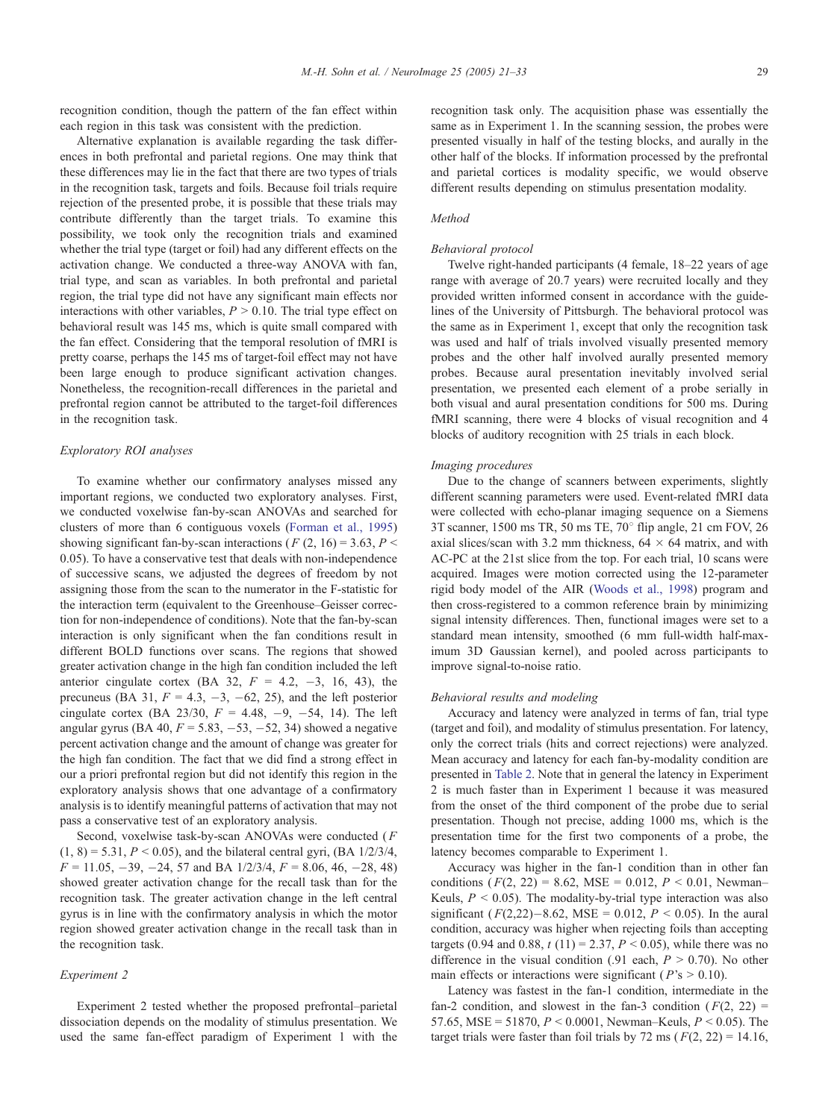recognition condition, though the pattern of the fan effect within each region in this task was consistent with the prediction.

Alternative explanation is available regarding the task differences in both prefrontal and parietal regions. One may think that these differences may lie in the fact that there are two types of trials in the recognition task, targets and foils. Because foil trials require rejection of the presented probe, it is possible that these trials may contribute differently than the target trials. To examine this possibility, we took only the recognition trials and examined whether the trial type (target or foil) had any different effects on the activation change. We conducted a three-way ANOVA with fan, trial type, and scan as variables. In both prefrontal and parietal region, the trial type did not have any significant main effects nor interactions with other variables,  $P > 0.10$ . The trial type effect on behavioral result was 145 ms, which is quite small compared with the fan effect. Considering that the temporal resolution of fMRI is pretty coarse, perhaps the 145 ms of target-foil effect may not have been large enough to produce significant activation changes. Nonetheless, the recognition-recall differences in the parietal and prefrontal region cannot be attributed to the target-foil differences in the recognition task.

## Exploratory ROI analyses

To examine whether our confirmatory analyses missed any important regions, we conducted two exploratory analyses. First, we conducted voxelwise fan-by-scan ANOVAs and searched for clusters of more than 6 contiguous voxels ([Forman et al., 1995\)](#page-12-0) showing significant fan-by-scan interactions ( $F(2, 16) = 3.63$ ,  $P \le$ 0.05). To have a conservative test that deals with non-independence of successive scans, we adjusted the degrees of freedom by not assigning those from the scan to the numerator in the F-statistic for the interaction term (equivalent to the Greenhouse–Geisser correction for non-independence of conditions). Note that the fan-by-scan interaction is only significant when the fan conditions result in different BOLD functions over scans. The regions that showed greater activation change in the high fan condition included the left anterior cingulate cortex (BA 32,  $F = 4.2, -3, 16, 43$ ), the precuneus (BA 31,  $F = 4.3, -3, -62, 25$ ), and the left posterior cingulate cortex (BA 23/30,  $F = 4.48, -9, -54, 14$ ). The left angular gyrus (BA 40,  $F = 5.83, -53, -52, 34$ ) showed a negative percent activation change and the amount of change was greater for the high fan condition. The fact that we did find a strong effect in our a priori prefrontal region but did not identify this region in the exploratory analysis shows that one advantage of a confirmatory analysis is to identify meaningful patterns of activation that may not pass a conservative test of an exploratory analysis.

Second, voxelwise task-by-scan ANOVAs were conducted ( $F$  $(1, 8) = 5.31, P < 0.05$ , and the bilateral central gyri, (BA 1/2/3/4,  $F = 11.05, -39, -24, 57$  and BA  $1/2/3/4, F = 8.06, 46, -28, 48$ showed greater activation change for the recall task than for the recognition task. The greater activation change in the left central gyrus is in line with the confirmatory analysis in which the motor region showed greater activation change in the recall task than in the recognition task.

## Experiment 2

Experiment 2 tested whether the proposed prefrontal–parietal dissociation depends on the modality of stimulus presentation. We used the same fan-effect paradigm of Experiment 1 with the recognition task only. The acquisition phase was essentially the same as in Experiment 1. In the scanning session, the probes were presented visually in half of the testing blocks, and aurally in the other half of the blocks. If information processed by the prefrontal and parietal cortices is modality specific, we would observe different results depending on stimulus presentation modality.

## Method

## Behavioral protocol

Twelve right-handed participants (4 female, 18–22 years of age range with average of 20.7 years) were recruited locally and they provided written informed consent in accordance with the guidelines of the University of Pittsburgh. The behavioral protocol was the same as in Experiment 1, except that only the recognition task was used and half of trials involved visually presented memory probes and the other half involved aurally presented memory probes. Because aural presentation inevitably involved serial presentation, we presented each element of a probe serially in both visual and aural presentation conditions for 500 ms. During fMRI scanning, there were 4 blocks of visual recognition and 4 blocks of auditory recognition with 25 trials in each block.

## Imaging procedures

Due to the change of scanners between experiments, slightly different scanning parameters were used. Event-related fMRI data were collected with echo-planar imaging sequence on a Siemens 3T scanner, 1500 ms TR, 50 ms TE, 70° flip angle, 21 cm FOV, 26 axial slices/scan with 3.2 mm thickness,  $64 \times 64$  matrix, and with AC-PC at the 21st slice from the top. For each trial, 10 scans were acquired. Images were motion corrected using the 12-parameter rigid body model of the AIR ([Woods et al., 1998\)](#page-12-0) program and then cross-registered to a common reference brain by minimizing signal intensity differences. Then, functional images were set to a standard mean intensity, smoothed (6 mm full-width half-maximum 3D Gaussian kernel), and pooled across participants to improve signal-to-noise ratio.

## Behavioral results and modeling

Accuracy and latency were analyzed in terms of fan, trial type (target and foil), and modality of stimulus presentation. For latency, only the correct trials (hits and correct rejections) were analyzed. Mean accuracy and latency for each fan-by-modality condition are presented in [Table 2.](#page-3-0) Note that in general the latency in Experiment 2 is much faster than in Experiment 1 because it was measured from the onset of the third component of the probe due to serial presentation. Though not precise, adding 1000 ms, which is the presentation time for the first two components of a probe, the latency becomes comparable to Experiment 1.

Accuracy was higher in the fan-1 condition than in other fan conditions ( $F(2, 22) = 8.62$ , MSE = 0.012,  $P < 0.01$ , Newman– Keuls,  $P < 0.05$ ). The modality-by-trial type interaction was also significant ( $F(2,22) - 8.62$ , MSE = 0.012,  $P < 0.05$ ). In the aural condition, accuracy was higher when rejecting foils than accepting targets (0.94 and 0.88,  $t(11) = 2.37, P < 0.05$ ), while there was no difference in the visual condition (.91 each,  $P > 0.70$ ). No other main effects or interactions were significant ( $P$ 's  $> 0.10$ ).

Latency was fastest in the fan-1 condition, intermediate in the fan-2 condition, and slowest in the fan-3 condition ( $F(2, 22)$ ) 57.65, MSE = 51870,  $P < 0.0001$ , Newman–Keuls,  $P < 0.05$ ). The target trials were faster than foil trials by 72 ms ( $F(2, 22) = 14.16$ ).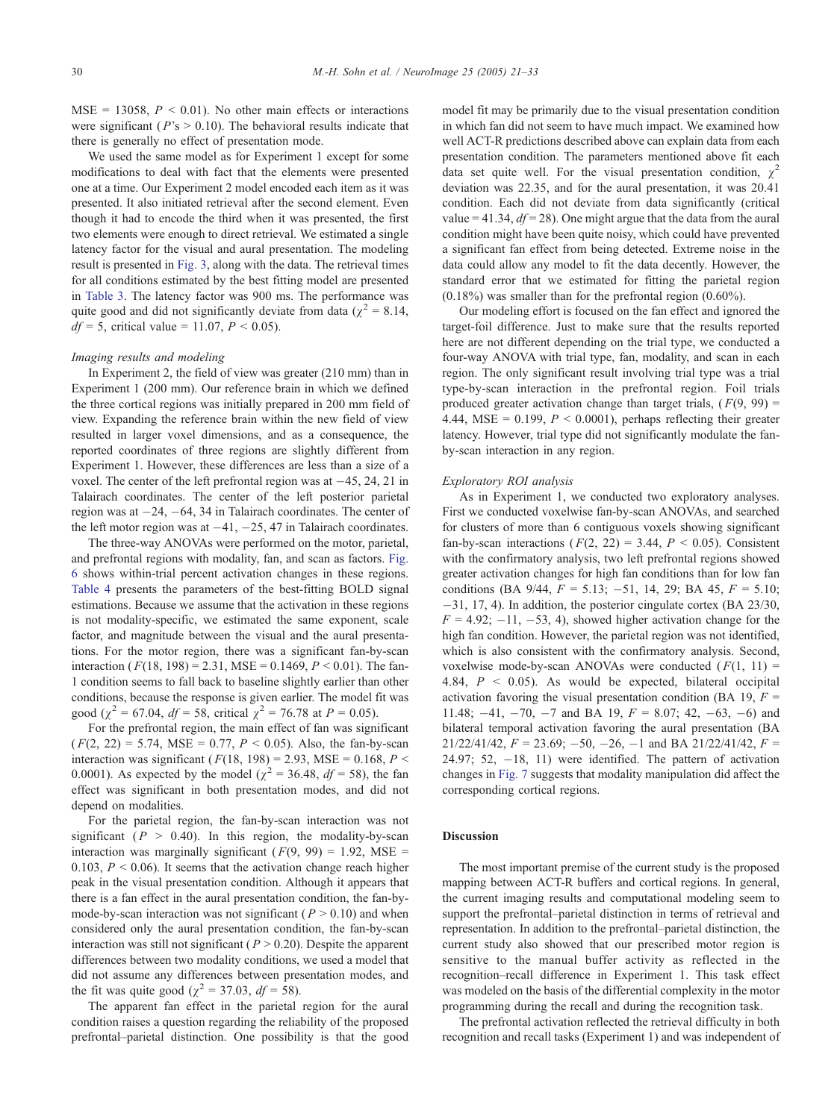$MSE = 13058$ ,  $P < 0.01$ ). No other main effects or interactions were significant ( $P$ 's  $> 0.10$ ). The behavioral results indicate that there is generally no effect of presentation mode.

We used the same model as for Experiment 1 except for some modifications to deal with fact that the elements were presented one at a time. Our Experiment 2 model encoded each item as it was presented. It also initiated retrieval after the second element. Even though it had to encode the third when it was presented, the first two elements were enough to direct retrieval. We estimated a single latency factor for the visual and aural presentation. The modeling result is presented in [Fig. 3,](#page-5-0) along with the data. The retrieval times for all conditions estimated by the best fitting model are presented in [Table 3.](#page-5-0) The latency factor was 900 ms. The performance was quite good and did not significantly deviate from data ( $\chi^2 = 8.14$ ,  $df = 5$ , critical value = 11.07,  $P < 0.05$ ).

## Imaging results and modeling

In Experiment 2, the field of view was greater (210 mm) than in Experiment 1 (200 mm). Our reference brain in which we defined the three cortical regions was initially prepared in 200 mm field of view. Expanding the reference brain within the new field of view resulted in larger voxel dimensions, and as a consequence, the reported coordinates of three regions are slightly different from Experiment 1. However, these differences are less than a size of a voxel. The center of the left prefrontal region was at  $-45$ , 24, 21 in Talairach coordinates. The center of the left posterior parietal region was at  $-24$ ,  $-64$ , 34 in Talairach coordinates. The center of the left motor region was at  $-41$ ,  $-25$ , 47 in Talairach coordinates.

The three-way ANOVAs were performed on the motor, parietal, and prefrontal regions with modality, fan, and scan as factors. [Fig.](#page-10-0) 6 shows within-trial percent activation changes in these regions. [Table 4](#page-7-0) presents the parameters of the best-fitting BOLD signal estimations. Because we assume that the activation in these regions is not modality-specific, we estimated the same exponent, scale factor, and magnitude between the visual and the aural presentations. For the motor region, there was a significant fan-by-scan interaction ( $F(18, 198) = 2.31$ , MSE = 0.1469,  $P < 0.01$ ). The fan-1 condition seems to fall back to baseline slightly earlier than other conditions, because the response is given earlier. The model fit was good ( $\chi^2$  = 67.04, df = 58, critical  $\chi^2$  = 76.78 at P = 0.05).

For the prefrontal region, the main effect of fan was significant  $(F(2, 22) = 5.74, MSE = 0.77, P < 0.05)$ . Also, the fan-by-scan interaction was significant ( $F(18, 198) = 2.93$ , MSE = 0.168,  $P \le$ 0.0001). As expected by the model ( $\chi^2$  = 36.48, *df* = 58), the fan effect was significant in both presentation modes, and did not depend on modalities.

For the parietal region, the fan-by-scan interaction was not significant ( $P > 0.40$ ). In this region, the modality-by-scan interaction was marginally significant ( $F(9, 99) = 1.92$ , MSE = 0.103,  $P \le 0.06$ ). It seems that the activation change reach higher peak in the visual presentation condition. Although it appears that there is a fan effect in the aural presentation condition, the fan-bymode-by-scan interaction was not significant ( $P > 0.10$ ) and when considered only the aural presentation condition, the fan-by-scan interaction was still not significant ( $P > 0.20$ ). Despite the apparent differences between two modality conditions, we used a model that did not assume any differences between presentation modes, and the fit was quite good ( $\chi^2$  = 37.03,  $df$  = 58).

The apparent fan effect in the parietal region for the aural condition raises a question regarding the reliability of the proposed prefrontal–parietal distinction. One possibility is that the good model fit may be primarily due to the visual presentation condition in which fan did not seem to have much impact. We examined how well ACT-R predictions described above can explain data from each presentation condition. The parameters mentioned above fit each data set quite well. For the visual presentation condition,  $\chi^2$ deviation was 22.35, and for the aural presentation, it was 20.41 condition. Each did not deviate from data significantly (critical value = 41.34,  $df = 28$ ). One might argue that the data from the aural condition might have been quite noisy, which could have prevented a significant fan effect from being detected. Extreme noise in the data could allow any model to fit the data decently. However, the standard error that we estimated for fitting the parietal region  $(0.18\%)$  was smaller than for the prefrontal region  $(0.60\%)$ .

Our modeling effort is focused on the fan effect and ignored the target-foil difference. Just to make sure that the results reported here are not different depending on the trial type, we conducted a four-way ANOVA with trial type, fan, modality, and scan in each region. The only significant result involving trial type was a trial type-by-scan interaction in the prefrontal region. Foil trials produced greater activation change than target trials,  $(F(9, 99))$  = 4.44, MSE = 0.199,  $P < 0.0001$ ), perhaps reflecting their greater latency. However, trial type did not significantly modulate the fanby-scan interaction in any region.

#### Exploratory ROI analysis

As in Experiment 1, we conducted two exploratory analyses. First we conducted voxelwise fan-by-scan ANOVAs, and searched for clusters of more than 6 contiguous voxels showing significant fan-by-scan interactions ( $F(2, 22) = 3.44$ ,  $P < 0.05$ ). Consistent with the confirmatory analysis, two left prefrontal regions showed greater activation changes for high fan conditions than for low fan conditions (BA 9/44,  $F = 5.13$ ; -51, 14, 29; BA 45,  $F = 5.10$ ;  $-31$ , 17, 4). In addition, the posterior cingulate cortex (BA 23/30,  $F = 4.92$ ;  $-11$ ,  $-53$ , 4), showed higher activation change for the high fan condition. However, the parietal region was not identified, which is also consistent with the confirmatory analysis. Second, voxelwise mode-by-scan ANOVAs were conducted  $(F(1, 11))$  = 4.84,  $P \le 0.05$ ). As would be expected, bilateral occipital activation favoring the visual presentation condition (BA 19,  $F =$ 11.48;  $-41$ ,  $-70$ ,  $-7$  and BA 19,  $F = 8.07$ ; 42,  $-63$ ,  $-6$ ) and bilateral temporal activation favoring the aural presentation (BA 21/22/41/42,  $F = 23.69$ ;  $-50$ ,  $-26$ ,  $-1$  and BA 21/22/41/42,  $F =$ 24.97; 52,  $-18$ , 11) were identified. The pattern of activation changes in [Fig. 7](#page-11-0) suggests that modality manipulation did affect the corresponding cortical regions.

## Discussion

The most important premise of the current study is the proposed mapping between ACT-R buffers and cortical regions. In general, the current imaging results and computational modeling seem to support the prefrontal–parietal distinction in terms of retrieval and representation. In addition to the prefrontal–parietal distinction, the current study also showed that our prescribed motor region is sensitive to the manual buffer activity as reflected in the recognition–recall difference in Experiment 1. This task effect was modeled on the basis of the differential complexity in the motor programming during the recall and during the recognition task.

The prefrontal activation reflected the retrieval difficulty in both recognition and recall tasks (Experiment 1) and was independent of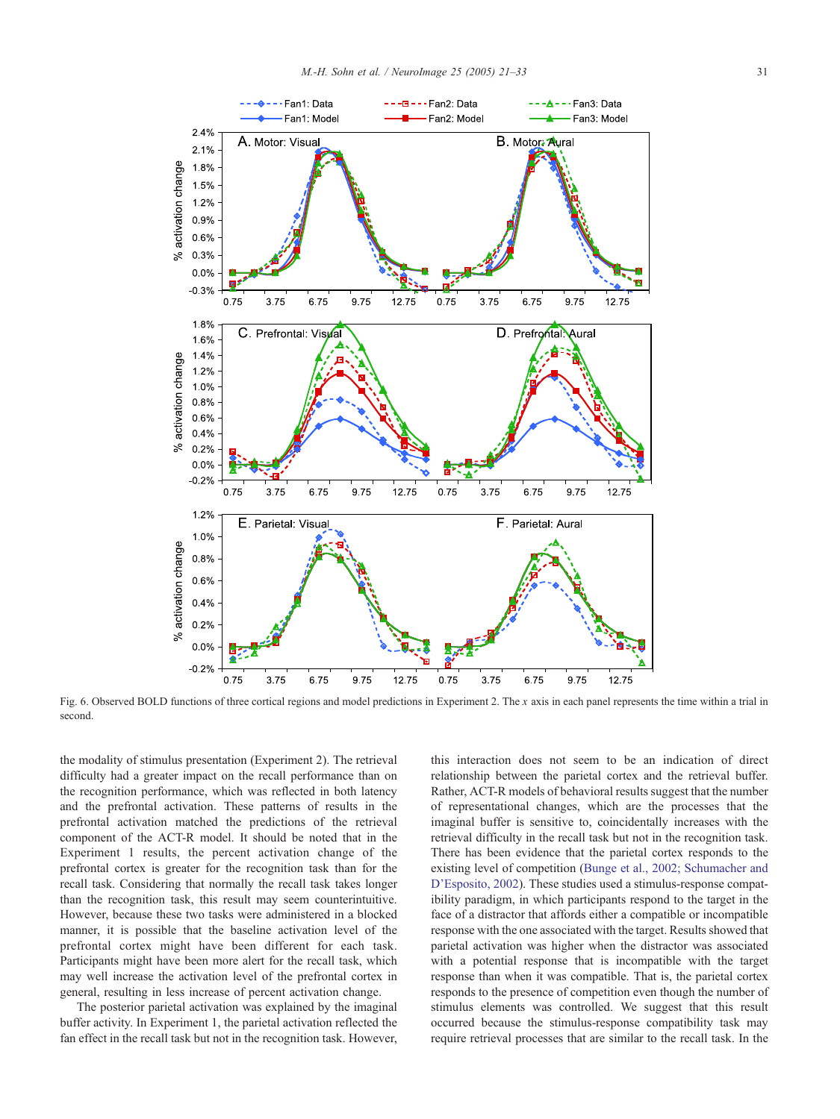<span id="page-10-0"></span>

Fig. 6. Observed BOLD functions of three cortical regions and model predictions in Experiment 2. The x axis in each panel represents the time within a trial in second.

the modality of stimulus presentation (Experiment 2). The retrieval difficulty had a greater impact on the recall performance than on the recognition performance, which was reflected in both latency and the prefrontal activation. These patterns of results in the prefrontal activation matched the predictions of the retrieval component of the ACT-R model. It should be noted that in the Experiment 1 results, the percent activation change of the prefrontal cortex is greater for the recognition task than for the recall task. Considering that normally the recall task takes longer than the recognition task, this result may seem counterintuitive. However, because these two tasks were administered in a blocked manner, it is possible that the baseline activation level of the prefrontal cortex might have been different for each task. Participants might have been more alert for the recall task, which may well increase the activation level of the prefrontal cortex in general, resulting in less increase of percent activation change.

The posterior parietal activation was explained by the imaginal buffer activity. In Experiment 1, the parietal activation reflected the fan effect in the recall task but not in the recognition task. However,

this interaction does not seem to be an indication of direct relationship between the parietal cortex and the retrieval buffer. Rather, ACT-R models of behavioral results suggest that the number of representational changes, which are the processes that the imaginal buffer is sensitive to, coincidentally increases with the retrieval difficulty in the recall task but not in the recognition task. There has been evidence that the parietal cortex responds to the existing level of competition ([Bunge et al., 2002; Schumacher and](#page-12-0) D'Esposito, 2002). These studies used a stimulus-response compatibility paradigm, in which participants respond to the target in the face of a distractor that affords either a compatible or incompatible response with the one associated with the target. Results showed that parietal activation was higher when the distractor was associated with a potential response that is incompatible with the target response than when it was compatible. That is, the parietal cortex responds to the presence of competition even though the number of stimulus elements was controlled. We suggest that this result occurred because the stimulus-response compatibility task may require retrieval processes that are similar to the recall task. In the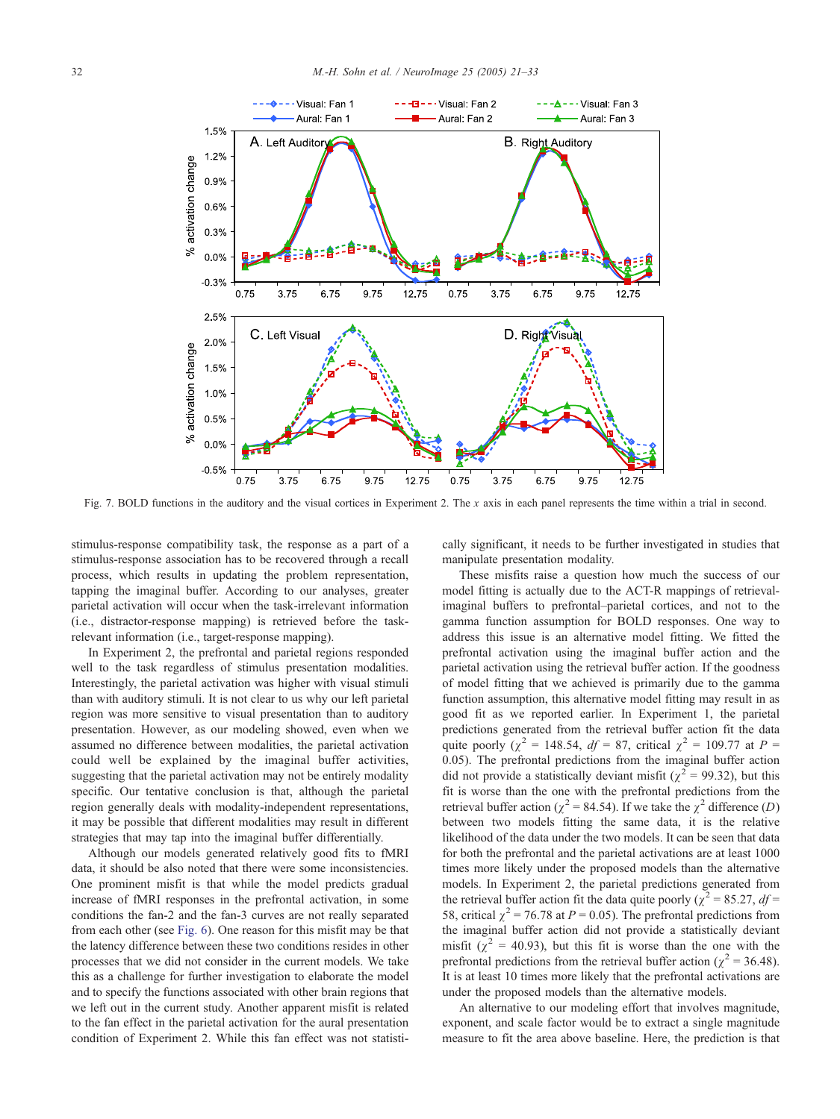<span id="page-11-0"></span>

Fig. 7. BOLD functions in the auditory and the visual cortices in Experiment 2. The x axis in each panel represents the time within a trial in second.

stimulus-response compatibility task, the response as a part of a stimulus-response association has to be recovered through a recall process, which results in updating the problem representation, tapping the imaginal buffer. According to our analyses, greater parietal activation will occur when the task-irrelevant information (i.e., distractor-response mapping) is retrieved before the taskrelevant information (i.e., target-response mapping).

In Experiment 2, the prefrontal and parietal regions responded well to the task regardless of stimulus presentation modalities. Interestingly, the parietal activation was higher with visual stimuli than with auditory stimuli. It is not clear to us why our left parietal region was more sensitive to visual presentation than to auditory presentation. However, as our modeling showed, even when we assumed no difference between modalities, the parietal activation could well be explained by the imaginal buffer activities, suggesting that the parietal activation may not be entirely modality specific. Our tentative conclusion is that, although the parietal region generally deals with modality-independent representations, it may be possible that different modalities may result in different strategies that may tap into the imaginal buffer differentially.

Although our models generated relatively good fits to fMRI data, it should be also noted that there were some inconsistencies. One prominent misfit is that while the model predicts gradual increase of fMRI responses in the prefrontal activation, in some conditions the fan-2 and the fan-3 curves are not really separated from each other (see [Fig. 6\)](#page-10-0). One reason for this misfit may be that the latency difference between these two conditions resides in other processes that we did not consider in the current models. We take this as a challenge for further investigation to elaborate the model and to specify the functions associated with other brain regions that we left out in the current study. Another apparent misfit is related to the fan effect in the parietal activation for the aural presentation condition of Experiment 2. While this fan effect was not statistically significant, it needs to be further investigated in studies that manipulate presentation modality.

These misfits raise a question how much the success of our model fitting is actually due to the ACT-R mappings of retrievalimaginal buffers to prefrontal–parietal cortices, and not to the gamma function assumption for BOLD responses. One way to address this issue is an alternative model fitting. We fitted the prefrontal activation using the imaginal buffer action and the parietal activation using the retrieval buffer action. If the goodness of model fitting that we achieved is primarily due to the gamma function assumption, this alternative model fitting may result in as good fit as we reported earlier. In Experiment 1, the parietal predictions generated from the retrieval buffer action fit the data quite poorly ( $\chi^2$  = 148.54,  $df = 87$ , critical  $\chi^2 = 109.77$  at  $P =$ 0.05). The prefrontal predictions from the imaginal buffer action did not provide a statistically deviant misfit ( $\chi^2$  = 99.32), but this fit is worse than the one with the prefrontal predictions from the retrieval buffer action ( $\chi^2$  = 84.54). If we take the  $\chi^2$  difference (*D*) between two models fitting the same data, it is the relative likelihood of the data under the two models. It can be seen that data for both the prefrontal and the parietal activations are at least 1000 times more likely under the proposed models than the alternative models. In Experiment 2, the parietal predictions generated from the retrieval buffer action fit the data quite poorly ( $\chi^2 = 85.27$ , df = 58, critical  $\chi^2$  = 76.78 at P = 0.05). The prefrontal predictions from the imaginal buffer action did not provide a statistically deviant misfit ( $\chi^2$  = 40.93), but this fit is worse than the one with the prefrontal predictions from the retrieval buffer action ( $\chi^2$  = 36.48). It is at least 10 times more likely that the prefrontal activations are under the proposed models than the alternative models.

An alternative to our modeling effort that involves magnitude, exponent, and scale factor would be to extract a single magnitude measure to fit the area above baseline. Here, the prediction is that